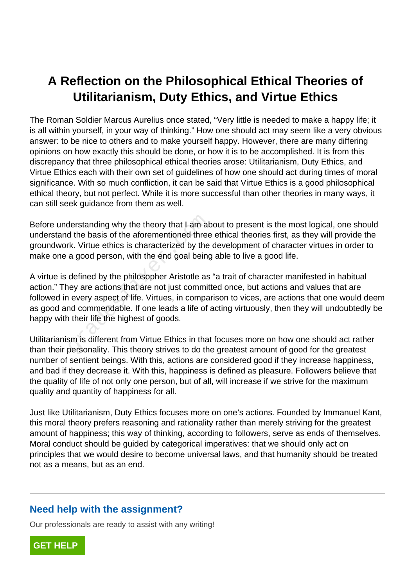# **A Reflection on the Philosophical Ethical Theories of Utilitarianism, Duty Ethics, and Virtue Ethics**

The Roman Soldier Marcus Aurelius once stated, "Very little is needed to make a happy life; it is all within yourself, in your way of thinking." How one should act may seem like a very obvious answer: to be nice to others and to make yourself happy. However, there are many differing opinions on how exactly this should be done, or how it is to be accomplished. It is from this discrepancy that three philosophical ethical theories arose: Utilitarianism, Duty Ethics, and Virtue Ethics each with their own set of guidelines of how one should act during times of moral significance. With so much confliction, it can be said that Virtue Ethics is a good philosophical ethical theory, but not perfect. While it is more successful than other theories in many ways, it can still seek guidance from them as well.

Before understanding why the theory that I am about to present is the most logical, one should understand the basis of the aforementioned three ethical theories first, as they will provide the groundwork. Virtue ethics is characterized by the development of character virtues in order to make one a good person, with the end goal being able to live a good life.

A virtue is defined by the philosopher Aristotle as "a trait of character manifested in habitual action." They are actions that are not just committed once, but actions and values that are followed in every aspect of life. Virtues, in comparison to vices, are actions that one would deem as good and commendable. If one leads a life of acting virtuously, then they will undoubtedly be happy with their life the highest of goods. derstanding why the theory that I am at<br>d the basis of the aforementioned three<br>k. Virtue ethics is characterized by the<br>a good person, with the end goal being<br>defined by the philosopher Aristotle as<br>ley are actions that a

Utilitarianism is different from Virtue Ethics in that focuses more on how one should act rather than their personality. This theory strives to do the greatest amount of good for the greatest number of sentient beings. With this, actions are considered good if they increase happiness, and bad if they decrease it. With this, happiness is defined as pleasure. Followers believe that the quality of life of not only one person, but of all, will increase if we strive for the maximum quality and quantity of happiness for all.

Just like Utilitarianism, Duty Ethics focuses more on one's actions. Founded by Immanuel Kant, this moral theory prefers reasoning and rationality rather than merely striving for the greatest amount of happiness; this way of thinking, according to followers, serve as ends of themselves. Moral conduct should be guided by categorical imperatives: that we should only act on principles that we would desire to become universal laws, and that humanity should be treated not as a means, but as an end.

### **Need help with the assignment?**

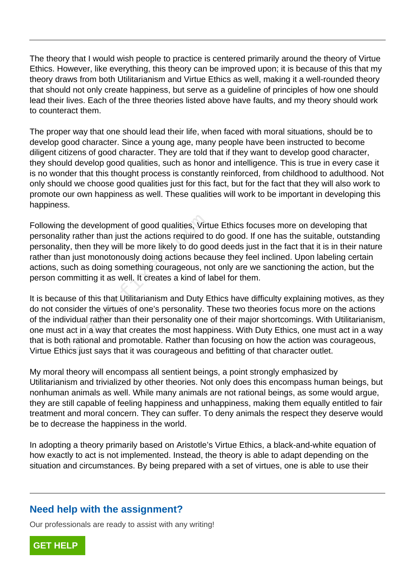The theory that I would wish people to practice is centered primarily around the theory of Virtue Ethics. However, like everything, this theory can be improved upon; it is because of this that my theory draws from both Utilitarianism and Virtue Ethics as well, making it a well-rounded theory that should not only create happiness, but serve as a guideline of principles of how one should lead their lives. Each of the three theories listed above have faults, and my theory should work to counteract them.

The proper way that one should lead their life, when faced with moral situations, should be to develop good character. Since a young age, many people have been instructed to become diligent citizens of good character. They are told that if they want to develop good character, they should develop good qualities, such as honor and intelligence. This is true in every case it is no wonder that this thought process is constantly reinforced, from childhood to adulthood. Not only should we choose good qualities just for this fact, but for the fact that they will also work to promote our own happiness as well. These qualities will work to be important in developing this happiness.

Following the development of good qualities, Virtue Ethics focuses more on developing that personality rather than just the actions required to do good. If one has the suitable, outstanding personality, then they will be more likely to do good deeds just in the fact that it is in their nature rather than just monotonously doing actions because they feel inclined. Upon labeling certain actions, such as doing something courageous, not only are we sanctioning the action, but the person committing it as well. It creates a kind of label for them. the development of good qualities, Virty<br>
rather than just the actions required to<br>
r, then they will be more likely to do good<br>
i just monotonously doing actions beca<br>
ich as doing something courageous, no<br>
mmitting it as

It is because of this that Utilitarianism and Duty Ethics have difficulty explaining motives, as they do not consider the virtues of one's personality. These two theories focus more on the actions of the individual rather than their personality one of their major shortcomings. With Utilitarianism, one must act in a way that creates the most happiness. With Duty Ethics, one must act in a way that is both rational and promotable. Rather than focusing on how the action was courageous, Virtue Ethics just says that it was courageous and befitting of that character outlet.

My moral theory will encompass all sentient beings, a point strongly emphasized by Utilitarianism and trivialized by other theories. Not only does this encompass human beings, but nonhuman animals as well. While many animals are not rational beings, as some would argue, they are still capable of feeling happiness and unhappiness, making them equally entitled to fair treatment and moral concern. They can suffer. To deny animals the respect they deserve would be to decrease the happiness in the world.

In adopting a theory primarily based on Aristotle's Virtue Ethics, a black-and-white equation of how exactly to act is not implemented. Instead, the theory is able to adapt depending on the situation and circumstances. By being prepared with a set of virtues, one is able to use their

## **Need help with the assignment?**

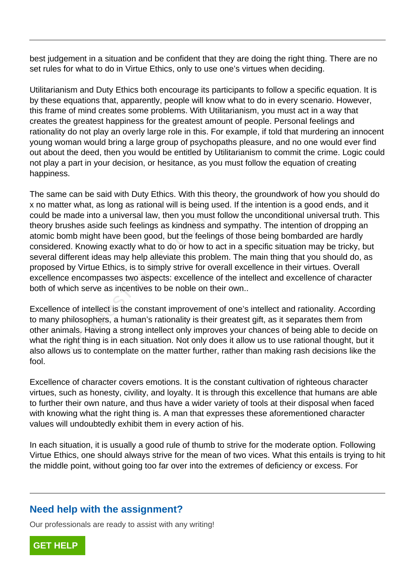best judgement in a situation and be confident that they are doing the right thing. There are no set rules for what to do in Virtue Ethics, only to use one's virtues when deciding.

Utilitarianism and Duty Ethics both encourage its participants to follow a specific equation. It is by these equations that, apparently, people will know what to do in every scenario. However, this frame of mind creates some problems. With Utilitarianism, you must act in a way that creates the greatest happiness for the greatest amount of people. Personal feelings and rationality do not play an overly large role in this. For example, if told that murdering an innocent young woman would bring a large group of psychopaths pleasure, and no one would ever find out about the deed, then you would be entitled by Utilitarianism to commit the crime. Logic could not play a part in your decision, or hesitance, as you must follow the equation of creating happiness.

The same can be said with Duty Ethics. With this theory, the groundwork of how you should do x no matter what, as long as rational will is being used. If the intention is a good ends, and it could be made into a universal law, then you must follow the unconditional universal truth. This theory brushes aside such feelings as kindness and sympathy. The intention of dropping an atomic bomb might have been good, but the feelings of those being bombarded are hardly considered. Knowing exactly what to do or how to act in a specific situation may be tricky, but several different ideas may help alleviate this problem. The main thing that you should do, as proposed by Virtue Ethics, is to simply strive for overall excellence in their virtues. Overall excellence encompasses two aspects: excellence of the intellect and excellence of character both of which serve as incentives to be noble on their own.. rade into a universal law, then you mussles aside such feelings as kindness amb might have been good, but the feelid.<br>A. Knowing exactly what to do or how to ferent ideas may help alleviate this pro<br>by Virtue Ethics, is to

Excellence of intellect is the constant improvement of one's intellect and rationality. According to many philosophers, a human's rationality is their greatest gift, as it separates them from other animals. Having a strong intellect only improves your chances of being able to decide on what the right thing is in each situation. Not only does it allow us to use rational thought, but it also allows us to contemplate on the matter further, rather than making rash decisions like the fool.

Excellence of character covers emotions. It is the constant cultivation of righteous character virtues, such as honesty, civility, and loyalty. It is through this excellence that humans are able to further their own nature, and thus have a wider variety of tools at their disposal when faced with knowing what the right thing is. A man that expresses these aforementioned character values will undoubtedly exhibit them in every action of his.

In each situation, it is usually a good rule of thumb to strive for the moderate option. Following Virtue Ethics, one should always strive for the mean of two vices. What this entails is trying to hit the middle point, without going too far over into the extremes of deficiency or excess. For

## **Need help with the assignment?**

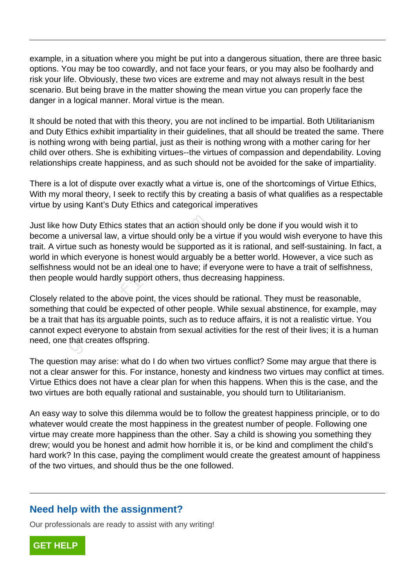example, in a situation where you might be put into a dangerous situation, there are three basic options. You may be too cowardly, and not face your fears, or you may also be foolhardy and risk your life. Obviously, these two vices are extreme and may not always result in the best scenario. But being brave in the matter showing the mean virtue you can properly face the danger in a logical manner. Moral virtue is the mean.

It should be noted that with this theory, you are not inclined to be impartial. Both Utilitarianism and Duty Ethics exhibit impartiality in their guidelines, that all should be treated the same. There is nothing wrong with being partial, just as their is nothing wrong with a mother caring for her child over others. She is exhibiting virtues--the virtues of compassion and dependability. Loving relationships create happiness, and as such should not be avoided for the sake of impartiality.

There is a lot of dispute over exactly what a virtue is, one of the shortcomings of Virtue Ethics, With my moral theory, I seek to rectify this by creating a basis of what qualifies as a respectable virtue by using Kant's Duty Ethics and categorical imperatives

Just like how Duty Ethics states that an action should only be done if you would wish it to become a universal law, a virtue should only be a virtue if you would wish everyone to have this trait. A virtue such as honesty would be supported as it is rational, and self-sustaining. In fact, a world in which everyone is honest would arguably be a better world. However, a vice such as selfishness would not be an ideal one to have; if everyone were to have a trait of selfishness, then people would hardly support others, thus decreasing happiness. by Duty Ethics states that an action sh<br>universal law, a virtue should only be a<br>ue such as honesty would be supporte<br>hich everyone is honest would arguably<br>s would not be an ideal one to have; if<br>le would hardly support o

Closely related to the above point, the vices should be rational. They must be reasonable, something that could be expected of other people. While sexual abstinence, for example, may be a trait that has its arguable points, such as to reduce affairs, it is not a realistic virtue. You cannot expect everyone to abstain from sexual activities for the rest of their lives; it is a human need, one that creates offspring.

The question may arise: what do I do when two virtues conflict? Some may argue that there is not a clear answer for this. For instance, honesty and kindness two virtues may conflict at times. Virtue Ethics does not have a clear plan for when this happens. When this is the case, and the two virtues are both equally rational and sustainable, you should turn to Utilitarianism.

An easy way to solve this dilemma would be to follow the greatest happiness principle, or to do whatever would create the most happiness in the greatest number of people. Following one virtue may create more happiness than the other. Say a child is showing you something they drew; would you be honest and admit how horrible it is, or be kind and compliment the child's hard work? In this case, paying the compliment would create the greatest amount of happiness of the two virtues, and should thus be the one followed.

### **Need help with the assignment?**